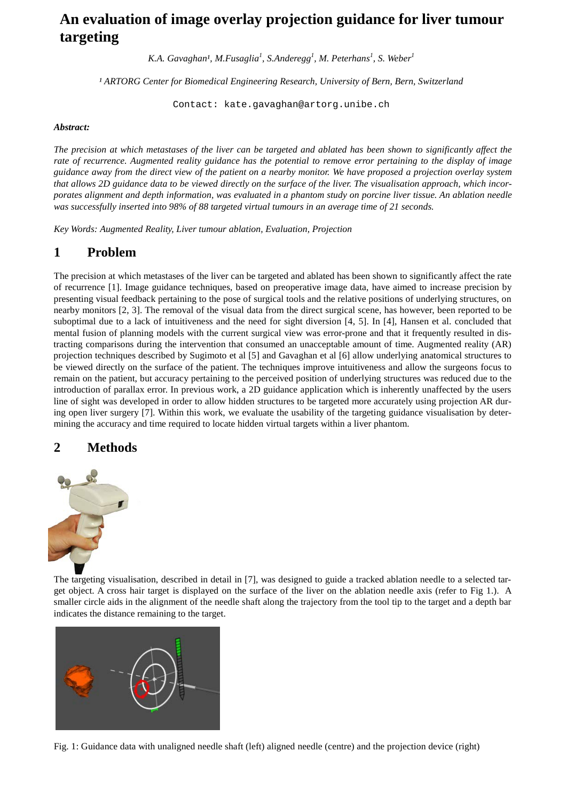# **An evaluation of image overlay projection guidance for liver tumour targeting**

*K.A. Gavaghan<sup>1</sup>, M.Fusaglia<sup>1</sup>, S.Anderegg<sup>1</sup>, M. Peterhans<sup>1</sup>, S. Weber<sup>1</sup>* 

*¹ ARTORG Center for Biomedical Engineering Research, University of Bern, Bern, Switzerland*

[Contact: kate.gavaghan@artorg.unibe.ch](mailto:kate.gavaghan@artorg.unibe.ch)

#### *Abstract:*

The precision at which metastases of the liver can be targeted and ablated has been shown to significantly affect the rate of recurrence. Augmented reality guidance has the potential to remove error pertaining to the display of image guidance away from the direct view of the patient on a nearby monitor. We have proposed a projection overlay system that allows 2D guidance data to be viewed directly on the surface of the liver. The visualisation approach, which incorporates alignment and depth information, was evaluated in a phantom study on porcine liver tissue. An ablation needle *was successfully inserted into 98% of 88 targeted virtual tumours in an average time of 21 seconds.*

*Key Words: Augmented Reality, Liver tumour ablation, Evaluation, Projection*

# **1 Problem**

The precision at which metastases of the liver can be targeted and ablated has been shown to significantly affect the rate of recurrence [1]. Image guidance techniques, based on preoperative image data, have aimed to increase precision by presenting visual feedback pertaining to the pose of surgical tools and the relative positions of underlying structures, on nearby monitors [2, 3]. The removal of the visual data from the direct surgical scene, has however, been reported to be suboptimal due to a lack of intuitiveness and the need for sight diversion [4, 5]. In [4], Hansen et al. concluded that mental fusion of planning models with the current surgical view was error-prone and that it frequently resulted in distracting comparisons during the intervention that consumed an unacceptable amount of time. Augmented reality (AR) projection techniques described by Sugimoto et al [5] and Gavaghan et al [6] allow underlying anatomical structures to be viewed directly on the surface of the patient. The techniques improve intuitiveness and allow the surgeons focus to remain on the patient, but accuracy pertaining to the perceived position of underlying structures was reduced due to the introduction of parallax error. In previous work, a 2D guidance application which is inherently unaffected by the users line of sight was developed in order to allow hidden structures to be targeted more accurately using projection AR during open liver surgery [7]. Within this work, we evaluate the usability of the targeting guidance visualisation by determining the accuracy and time required to locate hidden virtual targets within a liver phantom.

# **2 Methods**



The targeting visualisation, described in detail in [7], was designed to guide a tracked ablation needle to a selected target object. A cross hair target is displayed on the surface of the liver on the ablation needle axis (refer to Fig 1.). A smaller circle aids in the alignment of the needle shaft along the trajectory from the tool tip to the target and a depth bar indicates the distance remaining to the target.



Fig. 1: Guidance data with unaligned needle shaft (left) aligned needle (centre) and the projection device (right)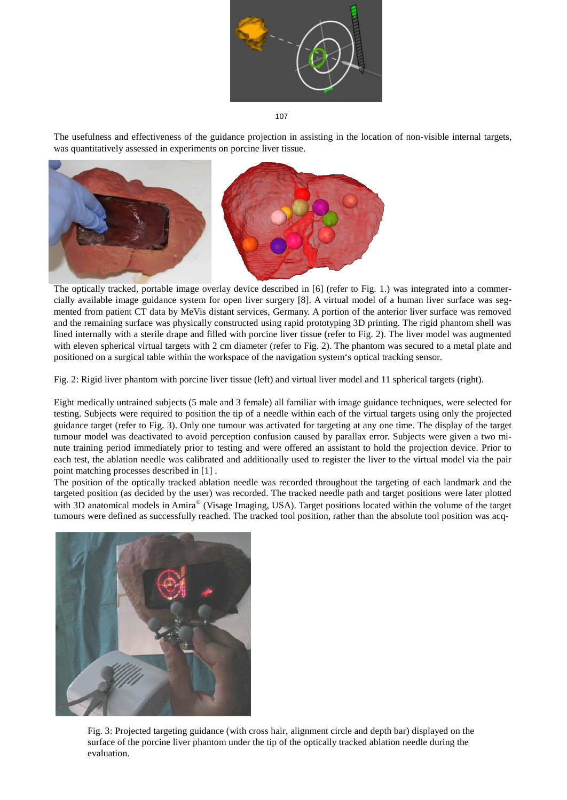

107

The usefulness and effectiveness of the guidance projection in assisting in the location of non-visible internal targets, was quantitatively assessed in experiments on porcine liver tissue.



The optically tracked, portable image overlay device described in [6] (refer to Fig. 1.) was integrated into a commercially available image guidance system for open liver surgery [8]. A virtual model of a human liver surface was segmented from patient CT data by MeVis distant services, Germany. A portion of the anterior liver surface was removed and the remaining surface was physically constructed using rapid prototyping 3D printing. The rigid phantom shell was lined internally with a sterile drape and filled with porcine liver tissue (refer to Fig. 2). The liver model was augmented with eleven spherical virtual targets with 2 cm diameter (refer to Fig. 2). The phantom was secured to a metal plate and positioned on a surgical table within the workspace of the navigation system's optical tracking sensor.

Fig. 2: Rigid liver phantom with porcine liver tissue (left) and virtual liver model and 11 spherical targets (right).

Eight medically untrained subjects (5 male and 3 female) all familiar with image guidance techniques, were selected for testing. Subjects were required to position the tip of a needle within each of the virtual targets using only the projected guidance target (refer to Fig. 3). Only one tumour was activated for targeting at any one time. The display of the target tumour model was deactivated to avoid perception confusion caused by parallax error. Subjects were given a two minute training period immediately prior to testing and were offered an assistant to hold the projection device. Prior to each test, the ablation needle was calibrated and additionally used to register the liver to the virtual model via the pair point matching processes described in [1] .

The position of the optically tracked ablation needle was recorded throughout the targeting of each landmark and the targeted position (as decided by the user) was recorded. The tracked needle path and target positions were later plotted with 3D anatomical models in Amira<sup>®</sup> (Visage Imaging, USA). Target positions located within the volume of the target tumours were defined as successfully reached. The tracked tool position, rather than the absolute tool position was acq-



Fig. 3: Projected targeting guidance (with cross hair, alignment circle and depth bar) displayed on the surface of the porcine liver phantom under the tip of the optically tracked ablation needle during the evaluation.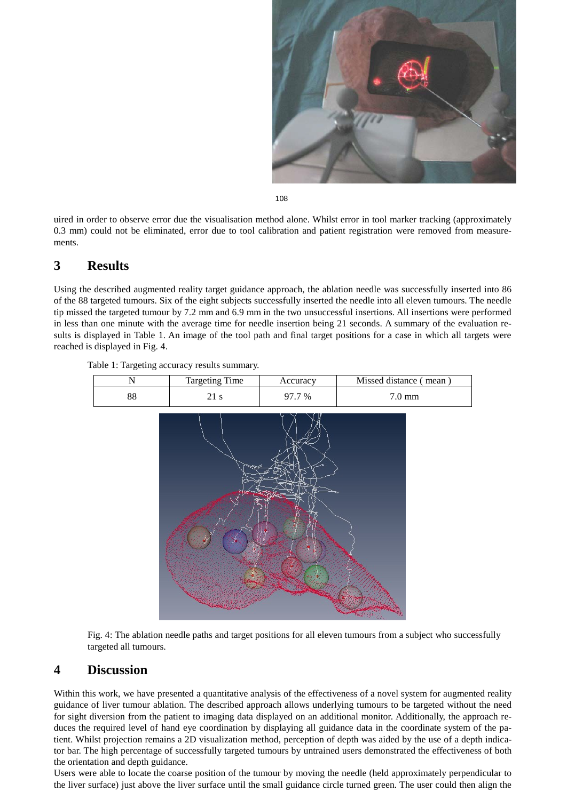

108

uired in order to observe error due the visualisation method alone. Whilst error in tool marker tracking (approximately 0.3 mm) could not be eliminated, error due to tool calibration and patient registration were removed from measurements.

#### **3 Results**

Using the described augmented reality target guidance approach, the ablation needle was successfully inserted into 86 of the 88 targeted tumours. Six of the eight subjects successfully inserted the needle into all eleven tumours. The needle tip missed the targeted tumour by 7.2 mm and 6.9 mm in the two unsuccessful insertions. All insertions were performed in less than one minute with the average time for needle insertion being 21 seconds. A summary of the evaluation results is displayed in Table 1. An image of the tool path and final target positions for a case in which all targets were reached is displayed in Fig. 4.

Table 1: Targeting accuracy results summary.



Fig. 4: The ablation needle paths and target positions for all eleven tumours from a subject who successfully targeted all tumours.

#### **4 Discussion**

Within this work, we have presented a quantitative analysis of the effectiveness of a novel system for augmented reality guidance of liver tumour ablation. The described approach allows underlying tumours to be targeted without the need for sight diversion from the patient to imaging data displayed on an additional monitor. Additionally, the approach reduces the required level of hand eye coordination by displaying all guidance data in the coordinate system of the patient. Whilst projection remains a 2D visualization method, perception of depth was aided by the use of a depth indicator bar. The high percentage of successfully targeted tumours by untrained users demonstrated the effectiveness of both the orientation and depth guidance.

Users were able to locate the coarse position of the tumour by moving the needle (held approximately perpendicular to the liver surface) just above the liver surface until the small guidance circle turned green. The user could then align the